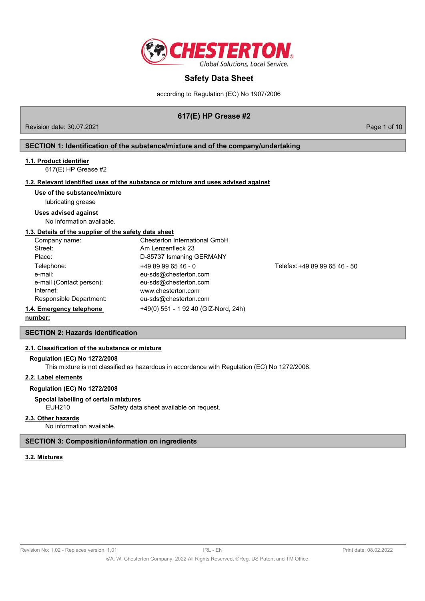

according to Regulation (EC) No 1907/2006

# **617(E) HP Grease #2**

Revision date: 30.07.2021 **Page 1 of 10** No. 2021

## **SECTION 1: Identification of the substance/mixture and of the company/undertaking**

#### **1.1. Product identifier**

617(E) HP Grease #2

# **1.2. Relevant identified uses of the substance or mixture and uses advised against**

#### **Use of the substance/mixture**

lubricating grease

#### **Uses advised against**

No information available.

## **1.3. Details of the supplier of the safety data sheet**

| Company name:            | Chesterton International GmbH        |                               |
|--------------------------|--------------------------------------|-------------------------------|
| Street:                  | Am Lenzenfleck 23                    |                               |
| Place:                   | D-85737 Ismaning GERMANY             |                               |
| Telephone:               | $+4989996546 - 0$                    | Telefax: +49 89 99 65 46 - 50 |
| e-mail:                  | eu-sds@chesterton.com                |                               |
| e-mail (Contact person): | eu-sds@chesterton.com                |                               |
| Internet:                | www.chesterton.com                   |                               |
| Responsible Department:  | eu-sds@chesterton.com                |                               |
| 1.4. Emergency telephone | +49(0) 551 - 1 92 40 (GIZ-Nord, 24h) |                               |
| المتمام والممتنعة        |                                      |                               |

#### **number:**

#### **SECTION 2: Hazards identification**

## **2.1. Classification of the substance or mixture**

#### **Regulation (EC) No 1272/2008**

This mixture is not classified as hazardous in accordance with Regulation (EC) No 1272/2008.

#### **2.2. Label elements**

## **Regulation (EC) No 1272/2008**

## **Special labelling of certain mixtures**

EUH210 Safety data sheet available on request.

#### **2.3. Other hazards**

No information available.

#### **SECTION 3: Composition/information on ingredients**

# **3.2. Mixtures**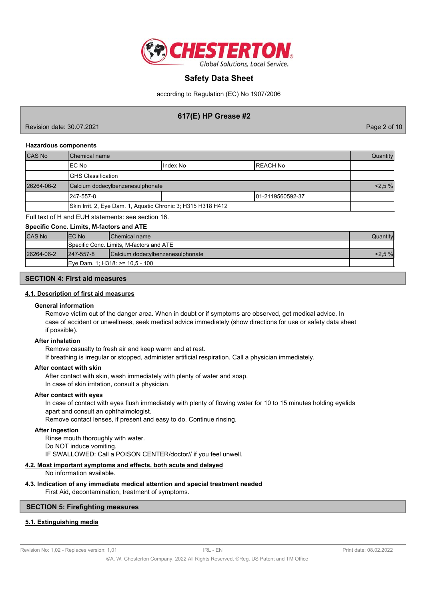

according to Regulation (EC) No 1907/2006

# **617(E) HP Grease #2**

Revision date: 30.07.2021 Page 2 of 10

#### **Hazardous components**

| <b>CAS No</b> | l Chemical name                                              |  |  | Quantity |
|---------------|--------------------------------------------------------------|--|--|----------|
|               | IIndex No<br>IEC No<br>IREACH No                             |  |  |          |
|               | IGHS Classification                                          |  |  |          |
| 26264-06-2    | Calcium dodecylbenzenesulphonate                             |  |  | 2,5%     |
|               | 1247-557-8<br>101-2119560592-37                              |  |  |          |
|               | Skin Irrit. 2, Eye Dam. 1, Aquatic Chronic 3; H315 H318 H412 |  |  |          |

Full text of H and EUH statements: see section 16.

#### **Specific Conc. Limits, M-factors and ATE**

| <b>CAS No</b> | IEC No<br><b>IChemical name</b>          |                                  | Quantityl |
|---------------|------------------------------------------|----------------------------------|-----------|
|               | Specific Conc. Limits, M-factors and ATE |                                  |           |
| 26264-06-2    | $1247 - 557 - 8$                         | Calcium dodecylbenzenesulphonate | $2.5\%$   |
|               | IEve Dam. 1: H318: >= 10.5 - 100         |                                  |           |

## **SECTION 4: First aid measures**

#### **4.1. Description of first aid measures**

#### **General information**

Remove victim out of the danger area. When in doubt or if symptoms are observed, get medical advice. In case of accident or unwellness, seek medical advice immediately (show directions for use or safety data sheet if possible).

#### **After inhalation**

Remove casualty to fresh air and keep warm and at rest.

If breathing is irregular or stopped, administer artificial respiration. Call a physician immediately.

#### **After contact with skin**

After contact with skin, wash immediately with plenty of water and soap. In case of skin irritation, consult a physician.

### **After contact with eyes**

In case of contact with eyes flush immediately with plenty of flowing water for 10 to 15 minutes holding eyelids apart and consult an ophthalmologist.

Remove contact lenses, if present and easy to do. Continue rinsing.

#### **After ingestion**

Rinse mouth thoroughly with water. Do NOT induce vomiting. IF SWALLOWED: Call a POISON CENTER/doctor// if you feel unwell.

#### **4.2. Most important symptoms and effects, both acute and delayed**

No information available.

# **4.3. Indication of any immediate medical attention and special treatment needed**

First Aid, decontamination, treatment of symptoms.

# **SECTION 5: Firefighting measures**

# **5.1. Extinguishing media**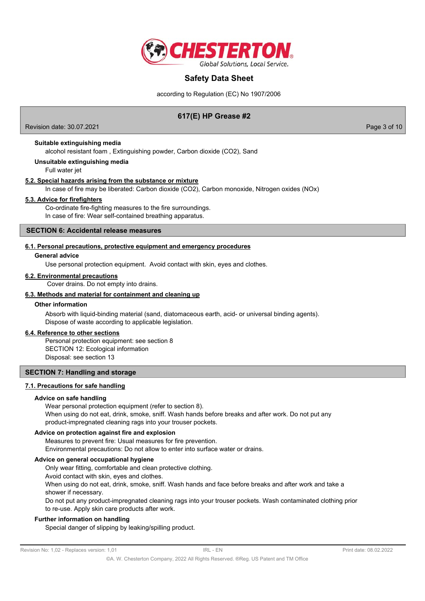

according to Regulation (EC) No 1907/2006

# **617(E) HP Grease #2**

Revision date: 30.07.2021 **Page 3 of 10** 

### **Suitable extinguishing media**

alcohol resistant foam , Extinguishing powder, Carbon dioxide (CO2), Sand

#### **Unsuitable extinguishing media**

Full water jet

#### **5.2. Special hazards arising from the substance or mixture**

In case of fire may be liberated: Carbon dioxide (CO2), Carbon monoxide, Nitrogen oxides (NOx)

## **5.3. Advice for firefighters**

Co-ordinate fire-fighting measures to the fire surroundings. In case of fire: Wear self-contained breathing apparatus.

## **SECTION 6: Accidental release measures**

#### **6.1. Personal precautions, protective equipment and emergency procedures**

#### **General advice**

Use personal protection equipment. Avoid contact with skin, eyes and clothes.

#### **6.2. Environmental precautions**

Cover drains. Do not empty into drains.

#### **6.3. Methods and material for containment and cleaning up**

#### **Other information**

Absorb with liquid-binding material (sand, diatomaceous earth, acid- or universal binding agents). Dispose of waste according to applicable legislation.

#### **6.4. Reference to other sections**

Personal protection equipment: see section 8 SECTION 12: Ecological information Disposal: see section 13

## **SECTION 7: Handling and storage**

## **7.1. Precautions for safe handling**

#### **Advice on safe handling**

Wear personal protection equipment (refer to section 8). When using do not eat, drink, smoke, sniff. Wash hands before breaks and after work. Do not put any product-impregnated cleaning rags into your trouser pockets.

## **Advice on protection against fire and explosion**

Measures to prevent fire: Usual measures for fire prevention. Environmental precautions: Do not allow to enter into surface water or drains.

#### **Advice on general occupational hygiene**

Only wear fitting, comfortable and clean protective clothing.

Avoid contact with skin, eyes and clothes.

When using do not eat, drink, smoke, sniff. Wash hands and face before breaks and after work and take a shower if necessary.

Do not put any product-impregnated cleaning rags into your trouser pockets. Wash contaminated clothing prior to re-use. Apply skin care products after work.

#### **Further information on handling**

Special danger of slipping by leaking/spilling product.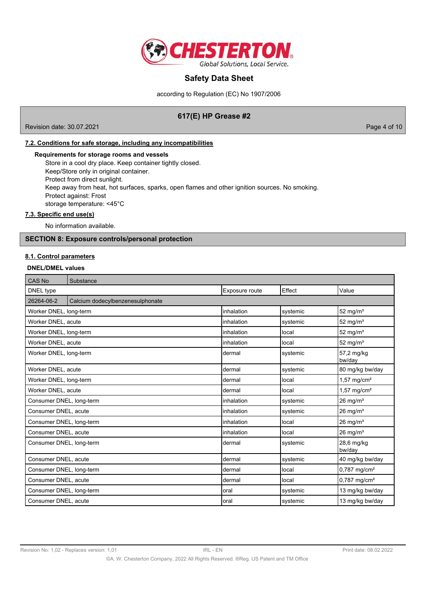

according to Regulation (EC) No 1907/2006

# **617(E) HP Grease #2**

Revision date: 30.07.2021 2000 Page 4 of 10

# **7.2. Conditions for safe storage, including any incompatibilities**

#### **Requirements for storage rooms and vessels**

Store in a cool dry place. Keep container tightly closed. Keep/Store only in original container. Protect from direct sunlight. Keep away from heat, hot surfaces, sparks, open flames and other ignition sources. No smoking. Protect against: Frost storage temperature: <45°C

## **7.3. Specific end use(s)**

No information available.

# **SECTION 8: Exposure controls/personal protection**

#### **8.1. Control parameters**

### **DNEL/DMEL values**

| CAS No                   | Substance                        |                |          |                            |
|--------------------------|----------------------------------|----------------|----------|----------------------------|
| DNEL type                |                                  | Exposure route | Effect   | Value                      |
| 26264-06-2               | Calcium dodecylbenzenesulphonate |                |          |                            |
| Worker DNEL, long-term   |                                  | linhalation    | systemic | $52$ mg/m <sup>3</sup>     |
| Worker DNEL, acute       |                                  | inhalation     | systemic | 52 mg/m <sup>3</sup>       |
| Worker DNEL, long-term   |                                  | linhalation    | local    | $52 \text{ mg/m}^3$        |
| Worker DNEL, acute       |                                  | linhalation    | local    | 52 mg/m <sup>3</sup>       |
| Worker DNEL, long-term   |                                  | Idermal        | systemic | 57,2 mg/kg<br>bw/day       |
| Worker DNEL, acute       |                                  | dermal         | systemic | 80 mg/kg bw/day            |
| Worker DNEL, long-term   |                                  | dermal         | local    | $1,57$ mg/cm <sup>2</sup>  |
| Worker DNEL, acute       |                                  | Idermal        | local    | $1,57$ mg/cm <sup>2</sup>  |
| Consumer DNEL, long-term |                                  | linhalation    | systemic | $26 \text{ mg/m}^3$        |
| Consumer DNEL, acute     |                                  | linhalation    | systemic | $26 \text{ mg/m}^3$        |
| Consumer DNEL, long-term |                                  | linhalation    | local    | $26 \text{ mg/m}^3$        |
| Consumer DNEL, acute     |                                  | linhalation    | local    | $26 \text{ mg/m}^3$        |
| Consumer DNEL, long-term |                                  | dermal         | systemic | 28,6 mg/kg<br>bw/day       |
| Consumer DNEL, acute     |                                  | dermal         | systemic | 40 mg/kg bw/day            |
| Consumer DNEL, long-term |                                  | dermal         | local    | $0,787$ mg/cm <sup>2</sup> |
| Consumer DNEL, acute     |                                  | Idermal        | local    | $0,787$ mg/cm <sup>2</sup> |
| Consumer DNEL, long-term |                                  | loral          | systemic | 13 mg/kg bw/day            |
| Consumer DNEL, acute     |                                  | loral          | systemic | 13 mg/kg bw/day            |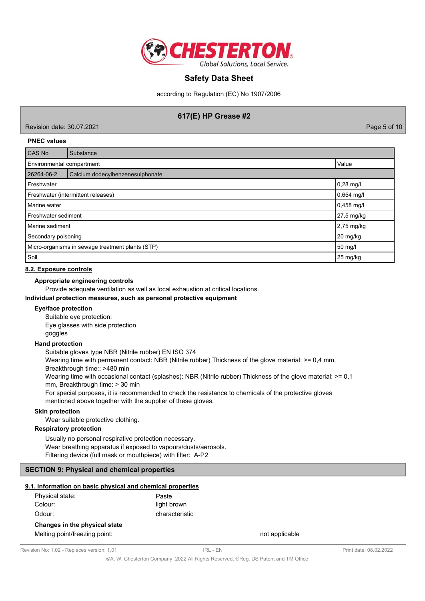

according to Regulation (EC) No 1907/2006

# **617(E) HP Grease #2**

Revision date: 30.07.2021 Page 5 of 10

#### **PNEC values**

| <b>CAS No</b>                                    | Substance                        |              |  |
|--------------------------------------------------|----------------------------------|--------------|--|
| Environmental compartment                        |                                  | Value        |  |
| 26264-06-2                                       | Calcium dodecylbenzenesulphonate |              |  |
| Freshwater                                       |                                  | 0,28 mg/l    |  |
| Freshwater (intermittent releases)               |                                  | 0,654 mg/l   |  |
| Marine water                                     |                                  | $0,458$ mg/l |  |
| Freshwater sediment                              |                                  | 27,5 mg/kg   |  |
| Marine sediment                                  |                                  | 2,75 mg/kg   |  |
| Secondary poisoning                              |                                  | 20 mg/kg     |  |
| Micro-organisms in sewage treatment plants (STP) |                                  | 50 mg/l      |  |
| Soil                                             | 25 mg/kg                         |              |  |

#### **8.2. Exposure controls**

## **Appropriate engineering controls**

Provide adequate ventilation as well as local exhaustion at critical locations.

#### **Individual protection measures, such as personal protective equipment**

#### **Eye/face protection**

Suitable eye protection: Eye glasses with side protection goggles

#### **Hand protection**

Suitable gloves type NBR (Nitrile rubber) EN ISO 374

Wearing time with permanent contact: NBR (Nitrile rubber) Thickness of the glove material:  $> = 0.4$  mm,

Breakthrough time:: >480 min

Wearing time with occasional contact (splashes): NBR (Nitrile rubber) Thickness of the glove material: >= 0,1 mm, Breakthrough time: > 30 min

For special purposes, it is recommended to check the resistance to chemicals of the protective gloves mentioned above together with the supplier of these gloves.

#### **Skin protection**

Wear suitable protective clothing.

## **Respiratory protection**

Usually no personal respirative protection necessary. Wear breathing apparatus if exposed to vapours/dusts/aerosols. Filtering device (full mask or mouthpiece) with filter: A-P2

## **SECTION 9: Physical and chemical properties**

#### **9.1. Information on basic physical and chemical properties**

| Physical state:               | Paste          |  |  |  |
|-------------------------------|----------------|--|--|--|
| Colour:                       | light brown    |  |  |  |
| Odour:                        | characteristic |  |  |  |
| Changes in the physical state |                |  |  |  |
| Melting point/freezing point: |                |  |  |  |

not applicable

©A. W. Chesterton Company, 2022 All Rights Reserved. ®Reg. US Patent and TM Office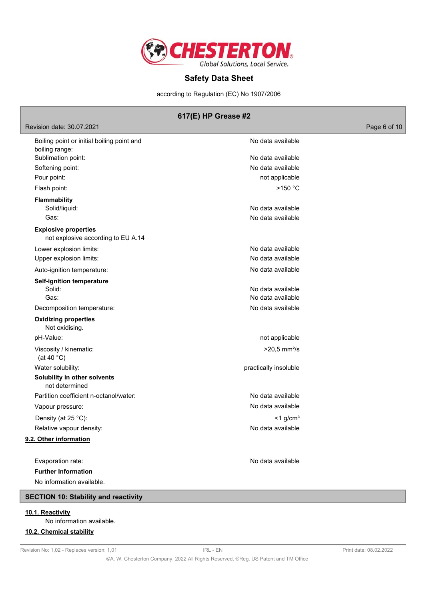

according to Regulation (EC) No 1907/2006

# **617(E) HP Grease #2**

## Revision date: 30.07.2021 2000 Page 6 of 10

| Boiling point or initial boiling point and<br>boiling range:      | No data available          |
|-------------------------------------------------------------------|----------------------------|
| Sublimation point:                                                | No data available          |
| Softening point:                                                  | No data available          |
| Pour point:                                                       | not applicable             |
| Flash point:                                                      | $>150$ °C                  |
| <b>Flammability</b>                                               |                            |
| Solid/liquid:                                                     | No data available          |
| Gas:                                                              | No data available          |
| <b>Explosive properties</b><br>not explosive according to EU A.14 |                            |
| Lower explosion limits:                                           | No data available          |
| Upper explosion limits:                                           | No data available          |
| Auto-ignition temperature:                                        | No data available          |
| <b>Self-ignition temperature</b>                                  |                            |
| Solid:                                                            | No data available          |
| Gas:                                                              | No data available          |
| Decomposition temperature:                                        | No data available          |
| <b>Oxidizing properties</b><br>Not oxidising.                     |                            |
| pH-Value:                                                         | not applicable             |
| Viscosity / kinematic:<br>(at 40 $^{\circ}$ C)                    | $>20,5$ mm <sup>2</sup> /s |
| Water solubility:                                                 | practically insoluble      |
| Solubility in other solvents<br>not determined                    |                            |
| Partition coefficient n-octanol/water:                            | No data available          |
| Vapour pressure:                                                  | No data available          |
| Density (at 25 °C):                                               | $<$ 1 g/cm <sup>3</sup>    |
| Relative vapour density:                                          | No data available          |
| 9.2. Other information                                            |                            |
|                                                                   |                            |
| Evaporation rate:                                                 | No data available          |
| <b>Further Information</b>                                        |                            |
| No information available.                                         |                            |

# **SECTION 10: Stability and reactivity**

# **10.1. Reactivity**

No information available.

# **10.2. Chemical stability**

©A. W. Chesterton Company, 2022 All Rights Reserved. ®Reg. US Patent and TM Office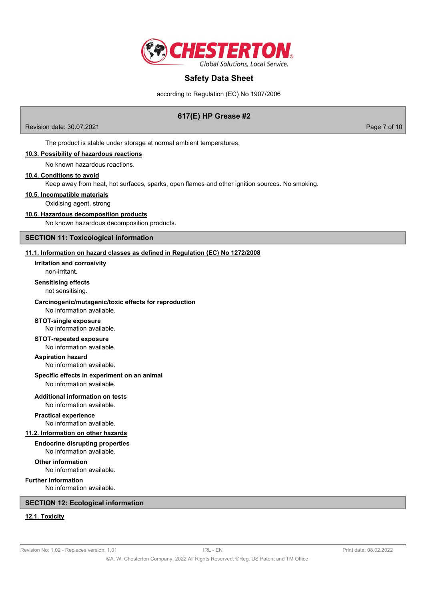

according to Regulation (EC) No 1907/2006

# **617(E) HP Grease #2**

Revision date: 30.07.2021 Page 7 of 10

The product is stable under storage at normal ambient temperatures.

#### **10.3. Possibility of hazardous reactions**

No known hazardous reactions.

#### **10.4. Conditions to avoid**

Keep away from heat, hot surfaces, sparks, open flames and other ignition sources. No smoking.

**10.5. Incompatible materials**

Oxidising agent, strong

#### **10.6. Hazardous decomposition products**

No known hazardous decomposition products.

#### **SECTION 11: Toxicological information**

## **11.1. Information on hazard classes as defined in Regulation (EC) No 1272/2008**

non-irritant. **Irritation and corrosivity**

### **Sensitising effects**

not sensitising.

#### **Carcinogenic/mutagenic/toxic effects for reproduction**

No information available.

#### **STOT-single exposure** No information available.

#### **STOT-repeated exposure**

No information available.

#### **Aspiration hazard**

No information available.

# **Specific effects in experiment on an animal**

No information available.

# **Additional information on tests**

No information available.

# **Practical experience**

No information available.

#### **11.2. Information on other hazards**

#### **Endocrine disrupting properties** No information available.

**Other information** No information available.

## **Further information**

No information available.

## **SECTION 12: Ecological information**

# **12.1. Toxicity**

Revision No: 1,02 - Replaces version: 1,01 **IRL - EN** IRL - EN Print date: 08.02.2022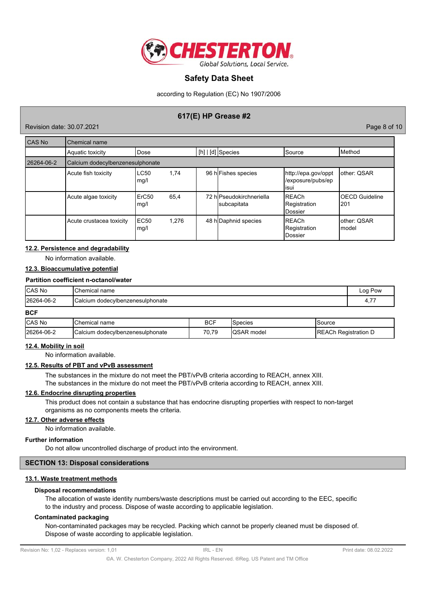

according to Regulation (EC) No 1907/2006

# **617(E) HP Grease #2**

Revision date: 30.07.2021 Page 8 of 10

| CAS No     | Chemical name                    |                           |       |                                         |                                                   |                               |
|------------|----------------------------------|---------------------------|-------|-----------------------------------------|---------------------------------------------------|-------------------------------|
|            | Aquatic toxicity                 | Dose                      |       | $[h]   [d]$ Species                     | <b>Source</b>                                     | Method                        |
| 26264-06-2 | Calcium dodecylbenzenesulphonate |                           |       |                                         |                                                   |                               |
|            | Acute fish toxicity              | LC50<br>mg/l              | 1,74  | 96 h Fishes species                     | http://epa.gov/oppt<br>/exposure/pubs/ep<br>lisui | lother: QSAR                  |
|            | Acute algae toxicity             | ErC <sub>50</sub><br>mg/l | 65,4  | 72 hlPseudokirchneriella<br>subcapitata | <b>REACh</b><br>Registration<br><b>IDossier</b>   | <b>OECD</b> Guideline<br>l201 |
|            | Acute crustacea toxicity         | EC <sub>50</sub><br>mg/l  | 1.276 | 48 h Daphnid species                    | IREACh<br>Registration<br><b>Dossier</b>          | lother: QSAR<br>Imodel        |

#### **12.2. Persistence and degradability**

No information available.

### **12.3. Bioaccumulative potential**

#### **Partition coefficient n-octanol/water**

| <b>CAS No</b> | <b>IChemical name</b>            |            |                 | Log Pow  |  |
|---------------|----------------------------------|------------|-----------------|----------|--|
| 26264-06-2    | Calcium dodecylbenzenesulphonate |            |                 | 4,77     |  |
| <b>BCF</b>    |                                  |            |                 |          |  |
| ICAS No       | <b>IChemical name</b>            | <b>RCF</b> | <b>S</b> necies | ISource. |  |

| <b>ICAS No</b> | $\sim$<br>Chemical name                     | <b>BCF</b>           | 'Species     | Source                                        |
|----------------|---------------------------------------------|----------------------|--------------|-----------------------------------------------|
| 26264-06-2     | <b>ICalcium</b><br>dodecylbenzenesulphonate | 0,79<br>$70^{\circ}$ | model<br>טעו | .oc<br>ΞЛ.<br>Registration D<br>. R F<br>וטרו |

### **12.4. Mobility in soil**

No information available.

#### **12.5. Results of PBT and vPvB assessment**

The substances in the mixture do not meet the PBT/vPvB criteria according to REACH, annex XIII. The substances in the mixture do not meet the PBT/vPvB criteria according to REACH, annex XIII.

## **12.6. Endocrine disrupting properties**

This product does not contain a substance that has endocrine disrupting properties with respect to non-target organisms as no components meets the criteria.

## **12.7. Other adverse effects**

No information available.

## **Further information**

Do not allow uncontrolled discharge of product into the environment.

## **SECTION 13: Disposal considerations**

## **13.1. Waste treatment methods**

#### **Disposal recommendations**

The allocation of waste identity numbers/waste descriptions must be carried out according to the EEC, specific to the industry and process. Dispose of waste according to applicable legislation.

#### **Contaminated packaging**

Non-contaminated packages may be recycled. Packing which cannot be properly cleaned must be disposed of. Dispose of waste according to applicable legislation.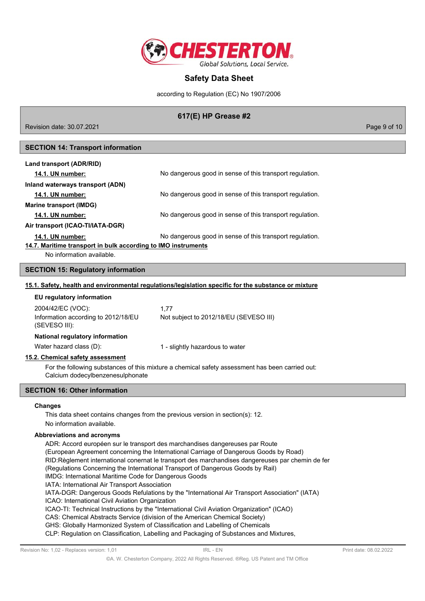

according to Regulation (EC) No 1907/2006

# **617(E) HP Grease #2**

Revision date: 30.07.2021 Page 9 of 10

# **SECTION 14: Transport information**

| Land transport (ADR/RID)                                      |                                                          |
|---------------------------------------------------------------|----------------------------------------------------------|
| <b>14.1. UN number:</b>                                       | No dangerous good in sense of this transport regulation. |
| Inland waterways transport (ADN)                              |                                                          |
| 14.1. UN number:                                              | No dangerous good in sense of this transport regulation. |
| <b>Marine transport (IMDG)</b>                                |                                                          |
| <b>14.1. UN number:</b>                                       | No dangerous good in sense of this transport regulation. |
| Air transport (ICAO-TI/IATA-DGR)                              |                                                          |
| <b>14.1. UN number:</b>                                       | No dangerous good in sense of this transport regulation. |
| 14.7. Maritime transport in bulk according to IMO instruments |                                                          |
| Alo information available                                     |                                                          |

No information available.

#### **SECTION 15: Regulatory information**

#### **15.1. Safety, health and environmental regulations/legislation specific for the substance or mixture**

| EU regulatory information                                                 |                                                                                                 |
|---------------------------------------------------------------------------|-------------------------------------------------------------------------------------------------|
| 2004/42/EC (VOC):<br>Information according to 2012/18/EU<br>(SEVESO III): | 1.77<br>Not subject to 2012/18/EU (SEVESO III)                                                  |
| National regulatory information                                           |                                                                                                 |
| Water hazard class (D):                                                   | 1 - slightly hazardous to water                                                                 |
| 15.2. Chemical safety assessment                                          |                                                                                                 |
| Calcium dodecylbenzenesulphonate                                          | For the following substances of this mixture a chemical safety assessment has been carried out: |

# **SECTION 16: Other information**

#### **Changes**

This data sheet contains changes from the previous version in section(s): 12. No information available.

#### **Abbreviations and acronyms**

ADR: Accord européen sur le transport des marchandises dangereuses par Route (European Agreement concerning the International Carriage of Dangerous Goods by Road) RID:Règlement international conernat le transport des marchandises dangereuses par chemin de fer (Regulations Concerning the International Transport of Dangerous Goods by Rail) IMDG: International Maritime Code for Dangerous Goods IATA: International Air Transport Association IATA-DGR: Dangerous Goods Refulations by the "International Air Transport Association" (IATA) ICAO: International Civil Aviation Organization ICAO-TI: Technical Instructions by the "International Civil Aviation Organization" (ICAO) CAS: Chemical Abstracts Service (division of the American Chemical Society) GHS: Globally Harmonized System of Classification and Labelling of Chemicals CLP: Regulation on Classification, Labelling and Packaging of Substances and Mixtures,